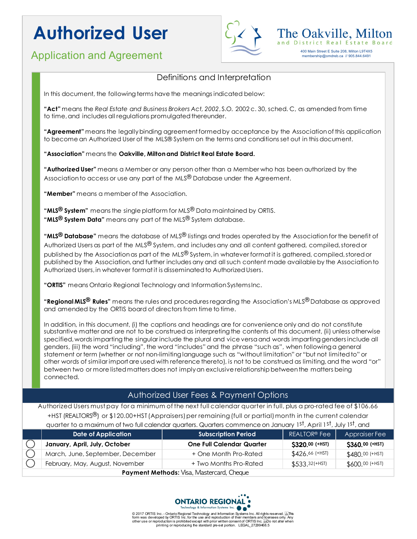# **Authorized User**

### Application and Agreement 400 Main Street E Suite 208, Milton L9T4X5

membership@omdreb.ca // 905.844.6491

The Oakville, M and District Real Estate



In this document, the following terms have the meanings indicated below:

**"Act"** means the *Real Estate and Business Brokers Act, 2002*, S.O. 2002 c. 30, sched. C, as amended from time to time, and includes all regulations promulgated thereunder.

**"Agreement"** means the legally binding agreement formed by acceptance by the Association of this application to become an Authorized User of the MLS® System on the terms and conditions set out in this document.

#### **"Association"** means the **Oakville, Milton and District Real Estate Board.**

**"Authorized User"** means a Member or any person other than a Member who has been authorized by the Association to access or use any part of the MLS $^{\circledR}$  Database under the Agreement.

**"Member"** means a member of the Association.

**"MLS® System"** means the single platform for MLS® Data maintained by ORTIS. **"MLS® System Data"** means any part of the MLS® System database.

**"MLS® Database"** means the database of MLS® listings and trades operated by the Association for the benefit of Authorized Users as part of the MLS® System, and includes any and all content gathered, compiled, stored or published by the Association as part of the MLS® System, in whatever format it is gathered, compiled, stored or published by the Association,and further includes any and all such content made available by the Associationto Authorized Users, in whatever format it is disseminated to Authorized Users.

**"ORTIS"** means Ontario Regional Technology and Information SystemsInc.

**"Regional MLS® Rules"** means the rules and procedures regarding the Association's MLS® Database as approved and amended by the ORTIS board of directors from time to time.

In addition, in this document, (i) the captions and headings are for convenience only and do not constitute substantive matter and are not to be construed as interpreting the contents of this document, (ii) unless otherwise specified, words imparting the singular include the plural and vice versa and words imparting genders include all genders, (iii) the word "including", the word "includes" and the phrase "such as", when following a general statement or term (whether or not non-limiting language such as "without limitation" or "but not limited to" or other words of similar import are used with reference thereto), is not to be construed as limiting, and the word "or" between two or more listed matters does not imply an exclusive relationship between the matters being connected.

### Authorized User Fees & Payment Options

Authorized Users must pay for a minimum of the next full calendar quarter in full, plus a pro-rated fee of \$106.66 +HST (REALTORS<sup>®</sup>) or \$120.00+HST (Appraisers) per remaining (full or partial) month in the current calendar quarter to a maximum of two full calendar quarters. Quarters commence on January 1st, April 1st, July 1st, and

|                                           | <b>Date of Application</b>       | <b>Subscription Period</b>       | REALTOR <sup>®</sup> Fee | Appraiser Fee   |
|-------------------------------------------|----------------------------------|----------------------------------|--------------------------|-----------------|
|                                           | January, April, July, October    | <b>One Full Calendar Quarter</b> | \$320.00 (+HST)          | \$360.00 (+HST) |
|                                           | March, June, September, December | + One Month Pro-Rated            | $$426.66$ (+HST)         | \$480.00 (+HST) |
|                                           | February, May, August, November  | + Two Months Pro-Rated           | $$533.32$ (+HST)         | \$600.00 (+HST) |
| Payment Methods: Visa, Mastercard, Cheque |                                  |                                  |                          |                 |



© 2017 ORTIS Inc. - Ontario Regional Technology and Information Systems Inc. All rights reserved. طابی The System I<br>form was developed by ORTIS Inc. for the use and reproduction of their members and Iicensees only. Any<br>ot printing or reproducing the standard pre-set portion. LEGAL 27299468.5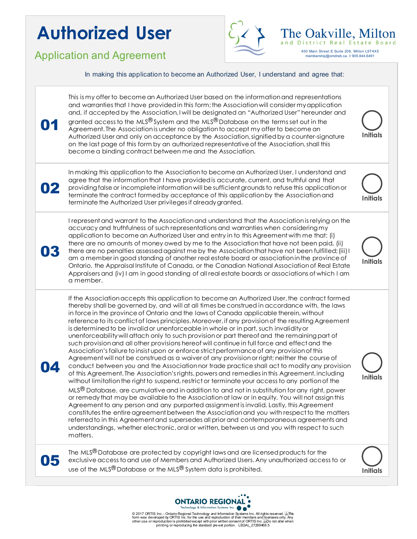## **Authorized User**

Application and Agreement 400 Main Street E Suite 208, Milton L9T4X5



The Oakville, Milton membership@omdreb.ca // 905.844.6491

|    | In making this application to become an Authorized User, I understand and agree that:                                                                                                                                                                                                                                                                                                                                                                                                                                                                                                                                                                                                                                                                                                                                                                                                                                                                                                                                                                                                                                                                                                                                                                                                                                                                                                                                                                                                                                                                                                                                                                                                                                                                                                                              |                 |
|----|--------------------------------------------------------------------------------------------------------------------------------------------------------------------------------------------------------------------------------------------------------------------------------------------------------------------------------------------------------------------------------------------------------------------------------------------------------------------------------------------------------------------------------------------------------------------------------------------------------------------------------------------------------------------------------------------------------------------------------------------------------------------------------------------------------------------------------------------------------------------------------------------------------------------------------------------------------------------------------------------------------------------------------------------------------------------------------------------------------------------------------------------------------------------------------------------------------------------------------------------------------------------------------------------------------------------------------------------------------------------------------------------------------------------------------------------------------------------------------------------------------------------------------------------------------------------------------------------------------------------------------------------------------------------------------------------------------------------------------------------------------------------------------------------------------------------|-----------------|
| 01 | This is my offer to become an Authorized User based on the information and representations<br>and warranties that I have provided in this form; the Association will consider my application<br>and, if accepted by the Association, I will be designated an "Authorized User" hereunder and<br>granted access to the MLS $^{\circledR}$ System and the MLS $^{\circledR}$ Database on the terms set out in the<br>Agreement. The Association is under no obligation to accept my offer to become an<br>Authorized User and only on acceptance by the Association, signified by a counter-signature<br>on the last page of this form by an authorized representative of the Association, shall this<br>become a binding contract between me and the Association.                                                                                                                                                                                                                                                                                                                                                                                                                                                                                                                                                                                                                                                                                                                                                                                                                                                                                                                                                                                                                                                   | Initials        |
| 02 | In making this application to the Association to become an Authorized User, I understand and<br>agree that the information that I have provided is accurate, current, and truthful and that<br>providing false or incomplete information will be sufficient grounds to refuse this application or<br>terminate the contract formed by acceptance of this application by the Association and<br>terminate the Authorized User privileges if already granted.                                                                                                                                                                                                                                                                                                                                                                                                                                                                                                                                                                                                                                                                                                                                                                                                                                                                                                                                                                                                                                                                                                                                                                                                                                                                                                                                                        | <b>Initials</b> |
| 03 | I represent and warrant to the Association and understand that the Association is relying on the<br>accuracy and truthfulness of such representations and warranties when considering my<br>application to become an Authorized User and entry in to this Agreement with me that: (i)<br>there are no amounts of money owed by me to the Association that have not been paid, (ii)<br>there are no penalties assessed against me by the Association that have not been fulfilled; (iii) I<br>am a member in good standing of another real estate board or association in the province of<br>Ontario, the Appraisal Institute of Canada, or the Canadian National Association of Real Estate<br>Appraisers and (iv) I am in good standing of all real estate boards or associations of which I am<br>a member.                                                                                                                                                                                                                                                                                                                                                                                                                                                                                                                                                                                                                                                                                                                                                                                                                                                                                                                                                                                                      | <b>Initials</b> |
|    | If the Association accepts this application to become an Authorized User, the contract formed<br>thereby shall be governed by, and will at all times be construed in accordance with, the laws<br>in force in the province of Ontario and the laws of Canada applicable therein, without<br>reference to its conflict of laws principles. Moreover, if any provision of the resulting Agreement<br>is determined to be invalid or unenforceable in whole or in part, such invalidity or<br>unenforceability will attach only to such provision or part thereof and the remaining part of<br>such provision and all other provisions hereof will continue in full force and effect and the<br>Association's failure to insist upon or enforce strict performance of any provision of this<br>Agreement will not be construed as a waiver of any provision or right; neither the course of<br>conduct between you and the Association nor trade practice shall act to modify any provision<br>of this Agreement. The Association's rights, powers and remedies in this Agreement, including<br>without limitation the right to suspend, restrict or terminate your access to any portion of the<br>MLS <sup>®</sup> Database, are cumulative and in addition to and not in substitution for any right, power<br>or remedy that may be available to the Association at law or in equity. You will not assign this<br>Agreement to any person and any purported assignment is invalid. Lastly, this Agreement<br>constitutes the entire agreement between the Association and you with respect to the matters<br>referred to in this Agreement and supersedes all prior and contemporaneous agreements and<br>understandings, whether electronic, oral or written, between us and you with respect to such<br>matters. | <b>Initials</b> |
|    | The MLS® Database are protected by copyright laws and are licensed products for the<br>exclusive access to and use of Members and Authorized Users. Any unauthorized access to or<br>use of the MLS® Database or the MLS® System data is prohibited.                                                                                                                                                                                                                                                                                                                                                                                                                                                                                                                                                                                                                                                                                                                                                                                                                                                                                                                                                                                                                                                                                                                                                                                                                                                                                                                                                                                                                                                                                                                                                               | <b>Initials</b> |



© 2017 ORTIS Inc. - Ontario Regional Technology and Information Systems Inc. All rights reserved. پیاچ⊺ris<br>form was developed by ORTIS Inc. for the use and reproduction of their members and licensees orly. Any<br>other use o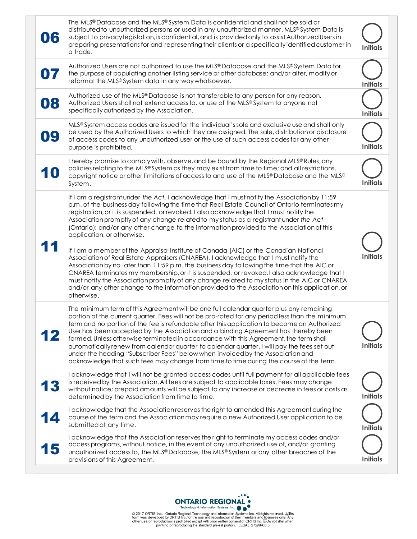| 06 | The MLS® Database and the MLS® System Data is confidential and shall not be sold or<br>distributed to unauthorized persons or used in any unauthorized manner. MLS® System Data is<br>subject to privacy legislation, is confidential, and is provided only to assist Authorized Users in<br>preparing presentations for and representing their clients or a specifically identified customer in<br>a trade.                                                                                                                                                                                                                                                                                                                                                                                                                                                                                                                                                                                                                                                                                               | Initials        |
|----|------------------------------------------------------------------------------------------------------------------------------------------------------------------------------------------------------------------------------------------------------------------------------------------------------------------------------------------------------------------------------------------------------------------------------------------------------------------------------------------------------------------------------------------------------------------------------------------------------------------------------------------------------------------------------------------------------------------------------------------------------------------------------------------------------------------------------------------------------------------------------------------------------------------------------------------------------------------------------------------------------------------------------------------------------------------------------------------------------------|-----------------|
|    | Authorized Users are not authorized to use the MLS® Database and the MLS® System Data for<br>the purpose of populating another listing service or other database; and/or alter, modify or<br>reformat the MLS® System data in any way whatsoever.                                                                                                                                                                                                                                                                                                                                                                                                                                                                                                                                                                                                                                                                                                                                                                                                                                                          | <b>Initials</b> |
| 08 | Authorized use of the MLS® Database is not transferable to any person for any reason.<br>Authorized Users shall not extend access to, or use of the MLS® System to anyone not<br>specifically authorized by the Association.                                                                                                                                                                                                                                                                                                                                                                                                                                                                                                                                                                                                                                                                                                                                                                                                                                                                               | <b>Initials</b> |
| 09 | MLS® System access codes are issued for the individual's sole and exclusive use and shall only<br>be used by the Authorized Users to which they are assigned. The sale, distribution or disclosure<br>of access codes to any unauthorized user or the use of such access codes for any other<br>purpose is prohibited.                                                                                                                                                                                                                                                                                                                                                                                                                                                                                                                                                                                                                                                                                                                                                                                     | <b>Initials</b> |
| 10 | I hereby promise to comply with, observe, and be bound by the Regional MLS® Rules, any<br>policies relating to the MLS® System as they may exist from time to time; and all restrictions,<br>copyright notice or other limitations of access to and use of the MLS® Database and the MLS®<br>System.                                                                                                                                                                                                                                                                                                                                                                                                                                                                                                                                                                                                                                                                                                                                                                                                       | <b>Initials</b> |
|    | If I am a registrant under the Act, I acknowledge that I must notify the Association by 11:59<br>p.m. of the business day following the time that Real Estate Council of Ontario terminates my<br>registration, or it is suspended, or revoked. I also acknowledge that I must notify the<br>Association promptly of any change related to my status as a registrant under the Act<br>(Ontario); and/or any other change to the information provided to the Association of this<br>application, or otherwise.<br>If I am a member of the Appraisal Institute of Canada (AIC) or the Canadian National<br>Association of Real Estate Appraisers (CNAREA), I acknowledge that I must notify the<br>Association by no later than 11:59 p.m. the business day following the time that the AIC or<br>CNAREA terminates my membership, or it is suspended, or revoked. I also acknowledge that I<br>must notify the Association promptly of any change related to my status in the AIC or CNAREA<br>and/or any other change to the information provided to the Association on this application, or<br>otherwise. | <b>Initials</b> |
| 12 | The minimum term of this Agreement will be one full calendar quarter plus any remaining<br>portion of the current quarter. Fees will not be pro-rated for any periodless than the minimum<br>term and no portion of the fee is refundable after this application to become an Authorized<br>User has been accepted by the Association and a binding Agreement has thereby been<br>formed. Unless otherwise terminated in accordance with this Agreement, the term shall<br>automatically renew from calendar quarter to calendar quarter. I will pay the fees set out<br>under the heading "Subscriber Fees" below when invoiced by the Association and<br>acknowledge that such fees may change from time to time during the course of the term.                                                                                                                                                                                                                                                                                                                                                          | <b>Initials</b> |
| 13 | I acknowledge that I will not be granted access codes until full payment for all applicable fees<br>is received by the Association. All fees are subject to applicable taxes. Fees may change<br>without notice; prepaid amounts will be subject to any increase or decrease in fees or costs as<br>determined by the Association from time to time.                                                                                                                                                                                                                                                                                                                                                                                                                                                                                                                                                                                                                                                                                                                                                       | <b>Initials</b> |
|    | I acknowledge that the Association reserves the right to amended this Agreement during the<br>course of the term and the Association may require a new Authorized User application to be<br>submitted at any time.                                                                                                                                                                                                                                                                                                                                                                                                                                                                                                                                                                                                                                                                                                                                                                                                                                                                                         | <b>Initials</b> |
| 15 | I acknowledge that the Association reserves the right to terminate my access codes and/or<br>access programs, without notice, in the event of any unauthorized use of, and/or granting<br>unauthorized access to, the MLS® Database, the MLS® System or any other breaches of the<br>provisions of this Agreement.                                                                                                                                                                                                                                                                                                                                                                                                                                                                                                                                                                                                                                                                                                                                                                                         | Initials        |



© 2017 ORTIS Inc. - Ontario Regional Technology and Information Systems Inc. All rights reserved. پاچ⊺ris<br>form was developed by ORTIS Inc. for the use and reproduction of their members and licensees orly. Any<br>other use or